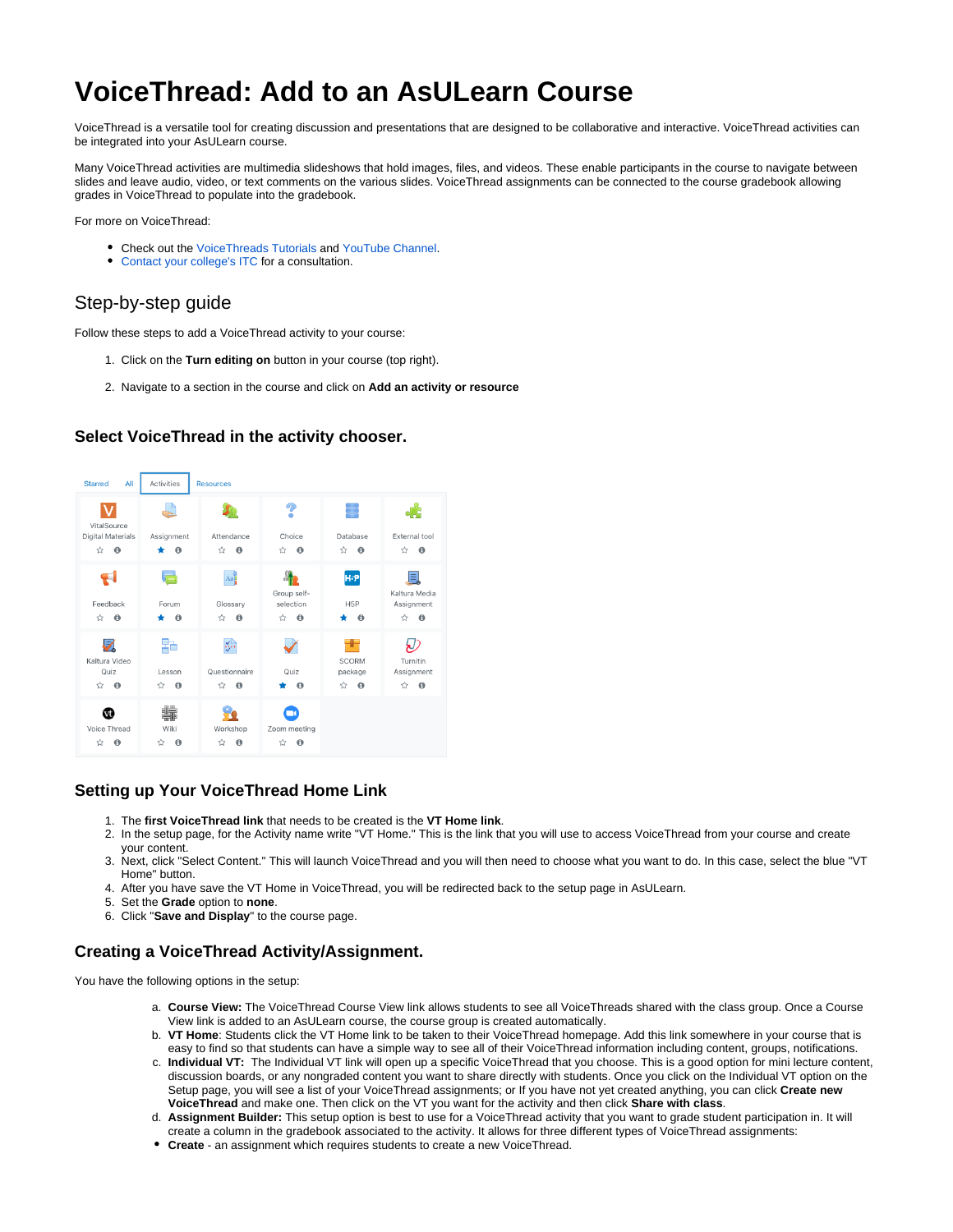# **VoiceThread: Add to an AsULearn Course**

VoiceThread is a versatile tool for creating discussion and presentations that are designed to be collaborative and interactive. VoiceThread activities can be integrated into your AsULearn course.

Many VoiceThread activities are multimedia slideshows that hold images, files, and videos. These enable participants in the course to navigate between slides and leave audio, video, or text comments on the various slides. VoiceThread assignments can be connected to the course gradebook allowing grades in VoiceThread to populate into the gradebook.

For more on VoiceThread:

- Check out the [VoiceThreads Tutorials](https://voicethread.com/myvoice/browse/threadbox/890/) and [YouTube Channel.](https://www.youtube.com/channel/UCXggZ2yUPudu9EKx5ZtrdAw)
- [Contact your college's ITC](https://cae.appstate.edu/contact/consultation-request) for a consultation.

## Step-by-step guide

Follow these steps to add a VoiceThread activity to your course:

- 1. Click on the **Turn editing on** button in your course (top right).
- 2. Navigate to a section in the course and click on **Add an activity or resource**

## **Select VoiceThread in the activity chooser.**



## **Setting up Your VoiceThread Home Link**

- 1. The **first VoiceThread link** that needs to be created is the **VT Home link**.
- 2. In the setup page, for the Activity name write "VT Home." This is the link that you will use to access VoiceThread from your course and create your content.
- 3. Next, click "Select Content." This will launch VoiceThread and you will then need to choose what you want to do. In this case, select the blue "VT Home" button.
- 4. After you have save the VT Home in VoiceThread, you will be redirected back to the setup page in AsULearn.
- 5. Set the **Grade** option to **none**.
- 6. Click "**Save and Display**" to the course page.

## **Creating a VoiceThread Activity/Assignment.**

You have the following options in the setup:

- a. **Course View:** The VoiceThread Course View link allows students to see all VoiceThreads shared with the class group. Once a Course View link is added to an AsULearn course, the course group is created automatically.
- b. **VT Home**: Students click the VT Home link to be taken to their VoiceThread homepage. Add this link somewhere in your course that is easy to find so that students can have a simple way to see all of their VoiceThread information including content, groups, notifications.
- c. **Individual VT:** The Individual VT link will open up a specific VoiceThread that you choose. This is a good option for mini lecture content, discussion boards, or any nongraded content you want to share directly with students. Once you click on the Individual VT option on the Setup page, you will see a list of your VoiceThread assignments; or If you have not yet created anything, you can click **Create new VoiceThread** and make one. Then click on the VT you want for the activity and then click **Share with class**.
- d. **Assignment Builder:** This setup option is best to use for a VoiceThread activity that you want to grade student participation in. It will create a column in the gradebook associated to the activity. It allows for three different types of VoiceThread assignments:
- **Create**  an assignment which requires students to create a new VoiceThread.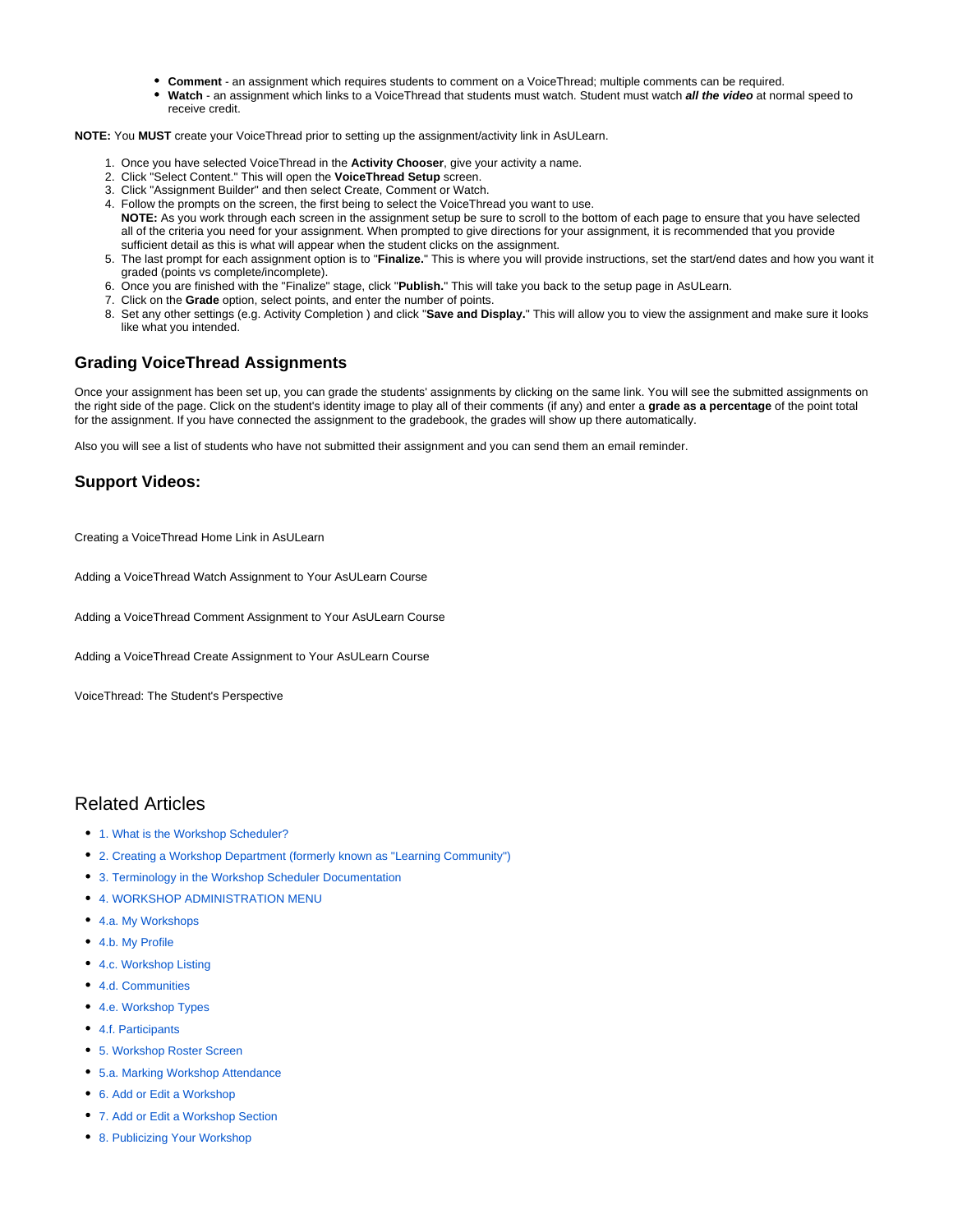- **Comment** an assignment which requires students to comment on a VoiceThread; multiple comments can be required.
- **Watch**  an assignment which links to a VoiceThread that students must watch. Student must watch **all the video** at normal speed to receive credit.

**NOTE:** You **MUST** create your VoiceThread prior to setting up the assignment/activity link in AsULearn.

- 1. Once you have selected VoiceThread in the **Activity Chooser**, give your activity a name.
- 2. Click "Select Content." This will open the **VoiceThread Setup** screen.
- 3. Click "Assignment Builder" and then select Create, Comment or Watch.
- 4. Follow the prompts on the screen, the first being to select the VoiceThread you want to use. **NOTE:** As you work through each screen in the assignment setup be sure to scroll to the bottom of each page to ensure that you have selected all of the criteria you need for your assignment. When prompted to give directions for your assignment, it is recommended that you provide sufficient detail as this is what will appear when the student clicks on the assignment.
- 5. The last prompt for each assignment option is to "**Finalize.**" This is where you will provide instructions, set the start/end dates and how you want it graded (points vs complete/incomplete).
- 6. Once you are finished with the "Finalize" stage, click "**Publish.**" This will take you back to the setup page in AsULearn.
- 7. Click on the **Grade** option, select points, and enter the number of points.
- 8. Set any other settings (e.g. Activity Completion ) and click "**Save and Display.**" This will allow you to view the assignment and make sure it looks like what you intended.

## **Grading VoiceThread Assignments**

Once your assignment has been set up, you can grade the students' assignments by clicking on the same link. You will see the submitted assignments on the right side of the page. Click on the student's identity image to play all of their comments (if any) and enter a **grade as a percentage** of the point total for the assignment. If you have connected the assignment to the gradebook, the grades will show up there automatically.

Also you will see a list of students who have not submitted their assignment and you can send them an email reminder.

## **Support Videos:**

Creating a VoiceThread Home Link in AsULearn

Adding a VoiceThread Watch Assignment to Your AsULearn Course

Adding a VoiceThread Comment Assignment to Your AsULearn Course

Adding a VoiceThread Create Assignment to Your AsULearn Course

VoiceThread: The Student's Perspective

## Related Articles

- [1. What is the Workshop Scheduler?](https://confluence.appstate.edu/pages/viewpage.action?pageId=34113676)
- [2. Creating a Workshop Department \(formerly known as "Learning Community"\)](https://confluence.appstate.edu/pages/viewpage.action?pageId=34113682)
- [3. Terminology in the Workshop Scheduler Documentation](https://confluence.appstate.edu/display/ATKB/3.+Terminology+in+the+Workshop+Scheduler+Documentation)
- [4. WORKSHOP ADMINISTRATION MENU](https://confluence.appstate.edu/display/ATKB/4.+WORKSHOP+ADMINISTRATION+MENU)
- [4.a. My Workshops](https://confluence.appstate.edu/display/ATKB/4.a.+My+Workshops)
- [4.b. My Profile](https://confluence.appstate.edu/display/ATKB/4.b.+My+Profile)
- [4.c. Workshop Listing](https://confluence.appstate.edu/display/ATKB/4.c.+Workshop+Listing)
- [4.d. Communities](https://confluence.appstate.edu/display/ATKB/4.d.+Communities)
- [4.e. Workshop Types](https://confluence.appstate.edu/display/ATKB/4.e.+Workshop+Types)
- [4.f. Participants](https://confluence.appstate.edu/display/ATKB/4.f.+Participants)
- [5. Workshop Roster Screen](https://confluence.appstate.edu/display/ATKB/5.+Workshop+Roster+Screen)
- [5.a. Marking Workshop Attendance](https://confluence.appstate.edu/display/ATKB/5.a.+Marking+Workshop+Attendance)
- [6. Add or Edit a Workshop](https://confluence.appstate.edu/display/ATKB/6.+Add+or+Edit+a+Workshop)
- [7. Add or Edit a Workshop Section](https://confluence.appstate.edu/display/ATKB/7.+Add+or+Edit+a+Workshop+Section)
- [8. Publicizing Your Workshop](https://confluence.appstate.edu/display/ATKB/8.+Publicizing+Your+Workshop)